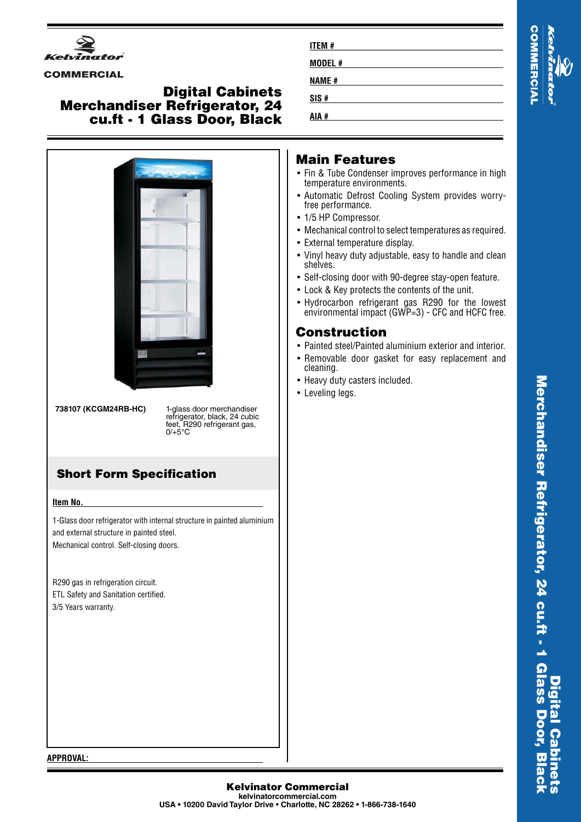

### **COMMERCIAL**

## **Digital Cabinets Merchandiser Refrigerator, 24 cu.ft - 1 Glass Door, Black**



**738107 (KCGM24RB-HC)** 1-glass door merchandiser

refrigerator, black, 24 cubic feet, R290 refrigerant gas,  $0/+5°C$ 

# **Short Form Specification**

#### **Item No.**

1-Glass door refrigerator with internal structure in painted aluminium and external structure in painted steel. Mechanical control. Self-closing doors.

R290 gas in refrigeration circuit. ETL Safety and Sanitation certified. 3/5 Years warranty.

| <b>ITEM#</b> |  |
|--------------|--|
| MODEL#       |  |
| <b>NAME#</b> |  |
| SIS#         |  |
| AIA #        |  |

## **Main Features**

- Fin & Tube Condenser improves performance in high temperature environments.
- Automatic Defrost Cooling System provides worryfree performance.
- 1/5 HP Compressor.
- Mechanical control to select temperatures as required.
- External temperature display.
- Vinyl heavy duty adjustable, easy to handle and clean shelves.
- Self-closing door with 90-degree stay-open feature.
- Lock & Key protects the contents of the unit.
- Hydrocarbon refrigerant gas R290 for the lowest environmental impact (GWP=3) - CFC and HCFC free.

# **Construction**

- Painted steel/Painted aluminium exterior and interior.
- Removable door gasket for easy replacement and cleaning.
- Heavy duty casters included.
- Leveling legs.

#### **APPROVAL:**

**Kelvinator Commercial kelvinatorcommercial.com USA • 10200 David Taylor Drive • Charlotte, NC 28262 • 1-866-738-1640**